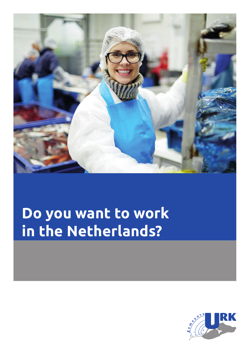

## **Do you want to work in the Netherlands?**